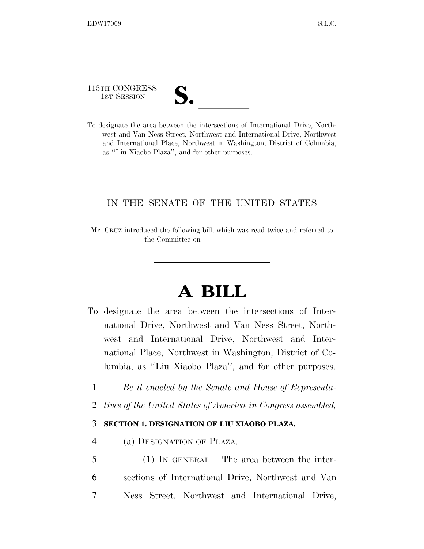115TH CONGRESS

| $\overline{\mathsf{v}}$ |  |
|-------------------------|--|
|                         |  |

115TH CONGRESS<br>
1ST SESSION<br>
To designate the area between the intersections of International Drive, Northwest and Van Ness Street, Northwest and International Drive, Northwest and International Place, Northwest in Washington, District of Columbia, as ''Liu Xiaobo Plaza'', and for other purposes.

## IN THE SENATE OF THE UNITED STATES

Mr. CRUZ introduced the following bill; which was read twice and referred to the Committee on

## **A BILL**

- To designate the area between the intersections of International Drive, Northwest and Van Ness Street, Northwest and International Drive, Northwest and International Place, Northwest in Washington, District of Columbia, as ''Liu Xiaobo Plaza'', and for other purposes.
	- 1 *Be it enacted by the Senate and House of Representa-*
	- 2 *tives of the United States of America in Congress assembled,*

## 3 **SECTION 1. DESIGNATION OF LIU XIAOBO PLAZA.**

- 4 (a) DESIGNATION OF PLAZA.—
- 5 (1) IN GENERAL.—The area between the inter-6 sections of International Drive, Northwest and Van 7 Ness Street, Northwest and International Drive,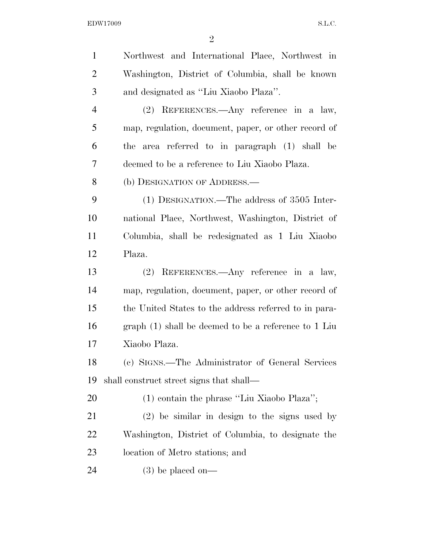EDW17009 S.L.C.

| $\mathbf{1}$   | Northwest and International Place, Northwest in        |
|----------------|--------------------------------------------------------|
| $\overline{2}$ | Washington, District of Columbia, shall be known       |
| 3              | and designated as "Liu Xiaobo Plaza".                  |
| $\overline{4}$ | $(2)$ REFERENCES.—Any reference in a law,              |
| 5              | map, regulation, document, paper, or other record of   |
| 6              | the area referred to in paragraph (1) shall be         |
| 7              | deemed to be a reference to Liu Xiaobo Plaza.          |
| 8              | (b) DESIGNATION OF ADDRESS.—                           |
| 9              | $(1)$ DESIGNATION.—The address of 3505 Inter-          |
| 10             | national Place, Northwest, Washington, District of     |
| 11             | Columbia, shall be redesignated as 1 Liu Xiaobo        |
| 12             | Plaza.                                                 |
|                |                                                        |
| 13             | (2) REFERENCES.—Any reference in a law,                |
| 14             | map, regulation, document, paper, or other record of   |
| 15             | the United States to the address referred to in para-  |
| 16             | graph $(1)$ shall be deemed to be a reference to 1 Liu |
| 17             | Xiaobo Plaza.                                          |
| 18             | (c) SIGNS.—The Administrator of General Services       |
| 19             | shall construct street signs that shall—               |
| 20             | $(1)$ contain the phrase "Liu Xiaobo Plaza";           |
| 21             | $(2)$ be similar in design to the signs used by        |
| 22             | Washington, District of Columbia, to designate the     |
| 23             | location of Metro stations; and                        |